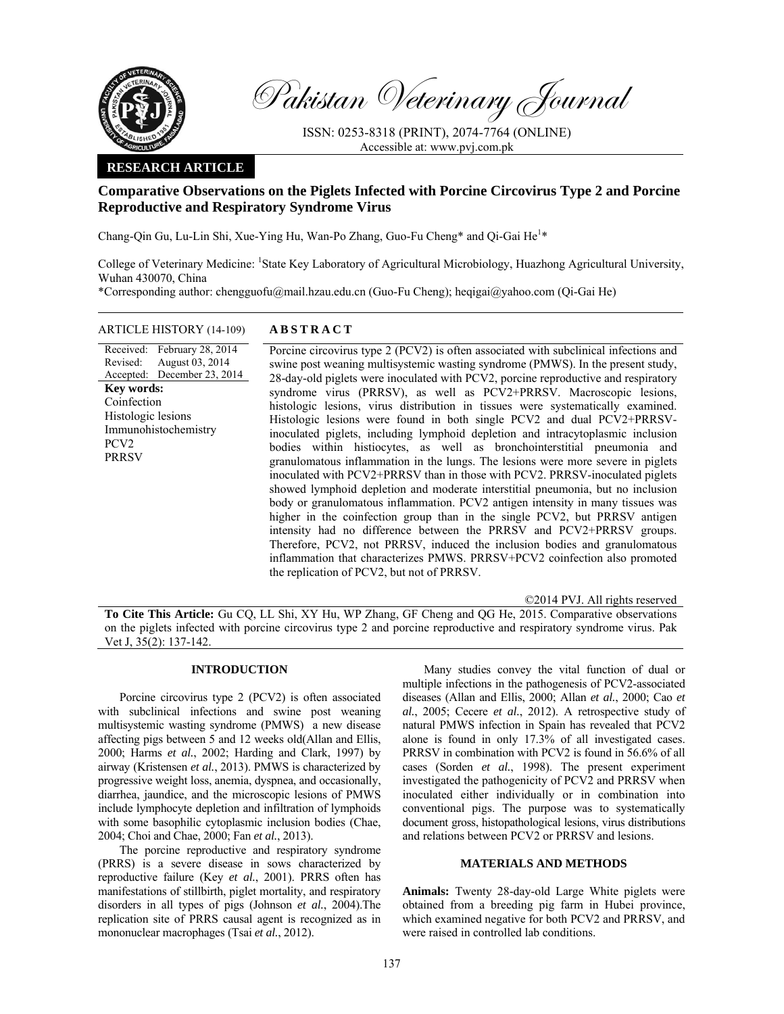

Pakistan Veterinary Journal

ISSN: 0253-8318 (PRINT), 2074-7764 (ONLINE) Accessible at: www.pvj.com.pk

# **RESEARCH ARTICLE**

# **Comparative Observations on the Piglets Infected with Porcine Circovirus Type 2 and Porcine Reproductive and Respiratory Syndrome Virus**

Chang-Qin Gu, Lu-Lin Shi, Xue-Ying Hu, Wan-Po Zhang, Guo-Fu Cheng\* and Qi-Gai He<sup>1</sup>\*

College of Veterinary Medicine: <sup>1</sup>State Key Laboratory of Agricultural Microbiology, Huazhong Agricultural University, Wuhan 430070, China

\*Corresponding author: chengguofu@mail.hzau.edu.cn (Guo-Fu Cheng); heqigai@yahoo.com (Qi-Gai He)

## ARTICLE HISTORY (14-109) **ABSTRACT**

Received: Revised: Accepted: December 23, 2014 February 28, 2014 August 03, 2014 **Key words:**  Coinfection Histologic lesions Immunohistochemistry PCV2 PRRSV

 Porcine circovirus type 2 (PCV2) is often associated with subclinical infections and swine post weaning multisystemic wasting syndrome (PMWS). In the present study, 28-day-old piglets were inoculated with PCV2, porcine reproductive and respiratory syndrome virus (PRRSV), as well as PCV2+PRRSV. Macroscopic lesions, histologic lesions, virus distribution in tissues were systematically examined. Histologic lesions were found in both single PCV2 and dual PCV2+PRRSVinoculated piglets, including lymphoid depletion and intracytoplasmic inclusion bodies within histiocytes, as well as bronchointerstitial pneumonia and granulomatous inflammation in the lungs. The lesions were more severe in piglets inoculated with PCV2+PRRSV than in those with PCV2. PRRSV-inoculated piglets showed lymphoid depletion and moderate interstitial pneumonia, but no inclusion body or granulomatous inflammation. PCV2 antigen intensity in many tissues was higher in the coinfection group than in the single PCV2, but PRRSV antigen intensity had no difference between the PRRSV and PCV2+PRRSV groups. Therefore, PCV2, not PRRSV, induced the inclusion bodies and granulomatous inflammation that characterizes PMWS. PRRSV+PCV2 coinfection also promoted the replication of PCV2, but not of PRRSV.

©2014 PVJ. All rights reserved

**To Cite This Article:** Gu CQ, LL Shi, XY Hu, WP Zhang, GF Cheng and QG He, 2015. Comparative observations on the piglets infected with porcine circovirus type 2 and porcine reproductive and respiratory syndrome virus. Pak Vet J, 35(2): 137-142.

# **INTRODUCTION**

Porcine circovirus type 2 (PCV2) is often associated with subclinical infections and swine post weaning multisystemic wasting syndrome (PMWS) a new disease affecting pigs between 5 and 12 weeks old(Allan and Ellis, 2000; Harms *et al.*, 2002; Harding and Clark, 1997) by airway (Kristensen *et al.*, 2013). PMWS is characterized by progressive weight loss, anemia, dyspnea, and occasionally, diarrhea, jaundice, and the microscopic lesions of PMWS include lymphocyte depletion and infiltration of lymphoids with some basophilic cytoplasmic inclusion bodies (Chae, 2004; Choi and Chae, 2000; Fan *et al.*, 2013).

The porcine reproductive and respiratory syndrome (PRRS) is a severe disease in sows characterized by reproductive failure (Key *et al.*, 2001). PRRS often has manifestations of stillbirth, piglet mortality, and respiratory disorders in all types of pigs (Johnson *et al.*, 2004).The replication site of PRRS causal agent is recognized as in mononuclear macrophages (Tsai *et al.*, 2012).

Many studies convey the vital function of dual or multiple infections in the pathogenesis of PCV2-associated diseases (Allan and Ellis, 2000; Allan *et al.*, 2000; Cao *et al.*, 2005; Cecere *et al.*, 2012). A retrospective study of natural PMWS infection in Spain has revealed that PCV2 alone is found in only 17.3% of all investigated cases. PRRSV in combination with PCV2 is found in 56.6% of all cases (Sorden *et al.*, 1998). The present experiment investigated the pathogenicity of PCV2 and PRRSV when inoculated either individually or in combination into conventional pigs. The purpose was to systematically document gross, histopathological lesions, virus distributions and relations between PCV2 or PRRSV and lesions.

## **MATERIALS AND METHODS**

**Animals:** Twenty 28-day-old Large White piglets were obtained from a breeding pig farm in Hubei province, which examined negative for both PCV2 and PRRSV, and were raised in controlled lab conditions.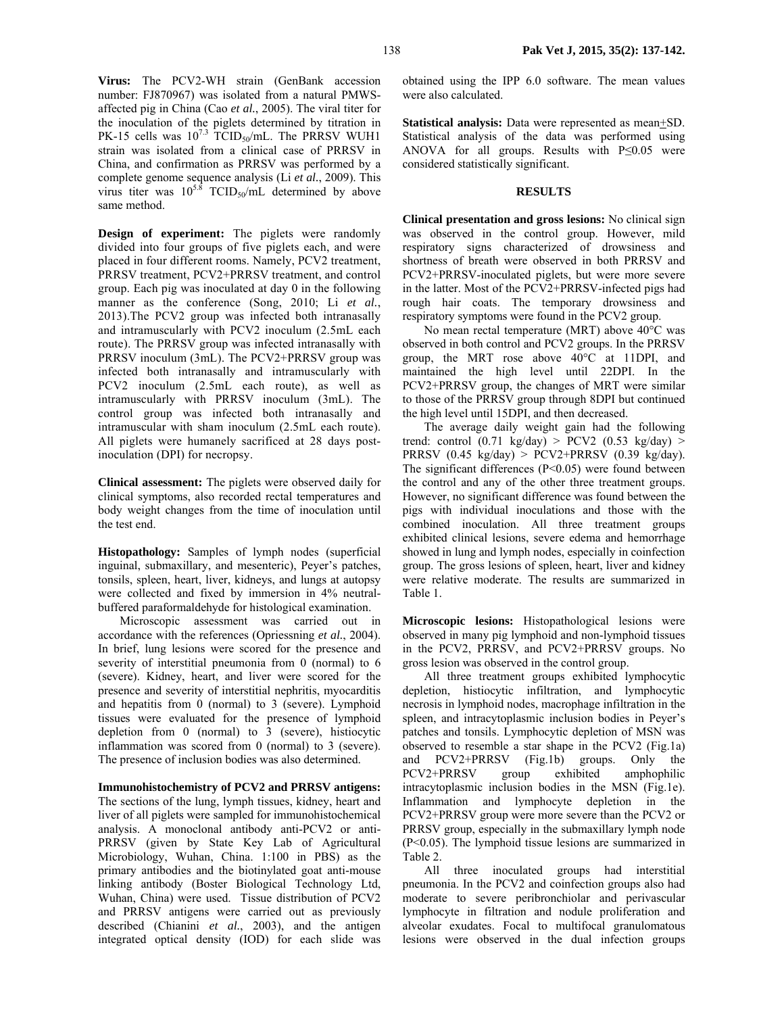**Virus:** The PCV2-WH strain (GenBank accession number: FJ870967) was isolated from a natural PMWSaffected pig in China (Cao *et al.*, 2005). The viral titer for the inoculation of the piglets determined by titration in PK-15 cells was  $10^{7.3}$  TCID<sub>50</sub>/mL. The PRRSV WUH1 strain was isolated from a clinical case of PRRSV in China, and confirmation as PRRSV was performed by a complete genome sequence analysis (Li *et al.*, 2009). This virus titer was  $10^{5.8}$  TCID<sub>50</sub>/mL determined by above same method.

**Design of experiment:** The piglets were randomly divided into four groups of five piglets each, and were placed in four different rooms. Namely, PCV2 treatment, PRRSV treatment, PCV2+PRRSV treatment, and control group. Each pig was inoculated at day 0 in the following manner as the conference (Song, 2010; Li *et al.*, 2013).The PCV2 group was infected both intranasally and intramuscularly with PCV2 inoculum (2.5mL each route). The PRRSV group was infected intranasally with PRRSV inoculum (3mL). The PCV2+PRRSV group was infected both intranasally and intramuscularly with PCV2 inoculum (2.5mL each route), as well as intramuscularly with PRRSV inoculum (3mL). The control group was infected both intranasally and intramuscular with sham inoculum (2.5mL each route). All piglets were humanely sacrificed at 28 days postinoculation (DPI) for necropsy.

**Clinical assessment:** The piglets were observed daily for clinical symptoms, also recorded rectal temperatures and body weight changes from the time of inoculation until the test end.

**Histopathology:** Samples of lymph nodes (superficial inguinal, submaxillary, and mesenteric), Peyer's patches, tonsils, spleen, heart, liver, kidneys, and lungs at autopsy were collected and fixed by immersion in 4% neutralbuffered paraformaldehyde for histological examination.

Microscopic assessment was carried out in accordance with the references (Opriessning *et al.*, 2004). In brief, lung lesions were scored for the presence and severity of interstitial pneumonia from 0 (normal) to 6 (severe). Kidney, heart, and liver were scored for the presence and severity of interstitial nephritis, myocarditis and hepatitis from 0 (normal) to 3 (severe). Lymphoid tissues were evaluated for the presence of lymphoid depletion from 0 (normal) to 3 (severe), histiocytic inflammation was scored from 0 (normal) to 3 (severe). The presence of inclusion bodies was also determined.

#### **Immunohistochemistry of PCV2 and PRRSV antigens:**

The sections of the lung, lymph tissues, kidney, heart and liver of all piglets were sampled for immunohistochemical analysis. A monoclonal antibody anti-PCV2 or anti-PRRSV (given by State Key Lab of Agricultural Microbiology, Wuhan, China. 1:100 in PBS) as the primary antibodies and the biotinylated goat anti-mouse linking antibody (Boster Biological Technology Ltd, Wuhan, China) were used. Tissue distribution of PCV2 and PRRSV antigens were carried out as previously described (Chianini *et al.*, 2003), and the antigen integrated optical density (IOD) for each slide was

obtained using the IPP 6.0 software. The mean values were also calculated.

**Statistical analysis:** Data were represented as mean+SD. Statistical analysis of the data was performed using ANOVA for all groups. Results with  $P \le 0.05$  were considered statistically significant.

#### **RESULTS**

**Clinical presentation and gross lesions:** No clinical sign was observed in the control group. However, mild respiratory signs characterized of drowsiness and shortness of breath were observed in both PRRSV and PCV2+PRRSV-inoculated piglets, but were more severe in the latter. Most of the PCV2+PRRSV-infected pigs had rough hair coats. The temporary drowsiness and respiratory symptoms were found in the PCV2 group.

No mean rectal temperature (MRT) above 40°C was observed in both control and PCV2 groups. In the PRRSV group, the MRT rose above 40°C at 11DPI, and maintained the high level until 22DPI. In the PCV2+PRRSV group, the changes of MRT were similar to those of the PRRSV group through 8DPI but continued the high level until 15DPI, and then decreased.

The average daily weight gain had the following trend: control  $(0.71 \text{ kg/day}) > PCV2$   $(0.53 \text{ kg/day}) >$ PRRSV  $(0.45 \text{ kg/day})$  > PCV2+PRRSV  $(0.39 \text{ kg/day})$ . The significant differences  $(P<0.05)$  were found between the control and any of the other three treatment groups. However, no significant difference was found between the pigs with individual inoculations and those with the combined inoculation. All three treatment groups exhibited clinical lesions, severe edema and hemorrhage showed in lung and lymph nodes, especially in coinfection group. The gross lesions of spleen, heart, liver and kidney were relative moderate. The results are summarized in Table 1.

**Microscopic lesions:** Histopathological lesions were observed in many pig lymphoid and non-lymphoid tissues in the PCV2, PRRSV, and PCV2+PRRSV groups. No gross lesion was observed in the control group.

All three treatment groups exhibited lymphocytic depletion, histiocytic infiltration, and lymphocytic necrosis in lymphoid nodes, macrophage infiltration in the spleen, and intracytoplasmic inclusion bodies in Peyer's patches and tonsils. Lymphocytic depletion of MSN was observed to resemble a star shape in the PCV2 (Fig.1a) and PCV2+PRRSV (Fig.1b) groups. Only the PCV2+PRRSV group exhibited amphophilic intracytoplasmic inclusion bodies in the MSN (Fig.1e). Inflammation and lymphocyte depletion in the PCV2+PRRSV group were more severe than the PCV2 or PRRSV group, especially in the submaxillary lymph node (P<0.05). The lymphoid tissue lesions are summarized in Table 2.

All three inoculated groups had interstitial pneumonia. In the PCV2 and coinfection groups also had moderate to severe peribronchiolar and perivascular lymphocyte in filtration and nodule proliferation and alveolar exudates. Focal to multifocal granulomatous lesions were observed in the dual infection groups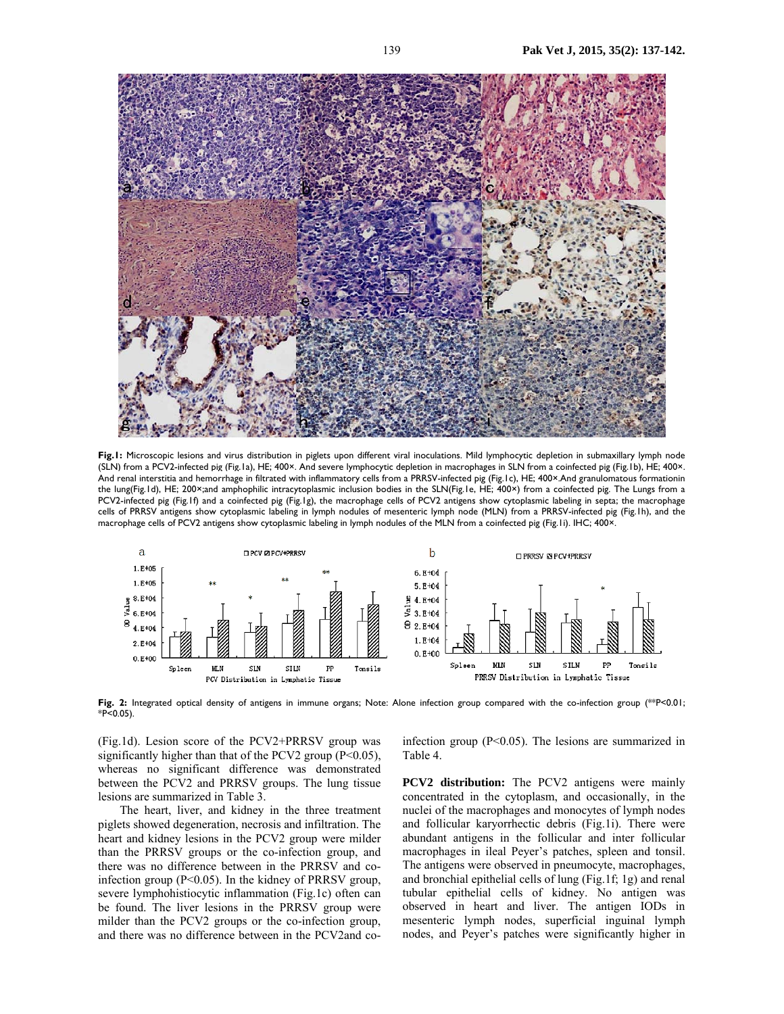

Fig.1: Microscopic lesions and virus distribution in piglets upon different viral inoculations. Mild lymphocytic depletion in submaxillary lymph node (SLN) from a PCV2-infected pig (Fig.1a), HE; 400×. And severe lymphocytic depletion in macrophages in SLN from a coinfected pig (Fig.1b), HE; 400×. And renal interstitia and hemorrhage in filtrated with inflammatory cells from a PRRSV-infected pig (Fig.1c), HE; 400×.And granulomatous formationin the lung(Fig.1d), HE; 200×;and amphophilic intracytoplasmic inclusion bodies in the SLN(Fig.1e, HE; 400×) from a coinfected pig. The Lungs from a PCV2-infected pig (Fig.1f) and a coinfected pig (Fig.1g), the macrophage cells of PCV2 antigens show cytoplasmic labeling in septa; the macrophage cells of PRRSV antigens show cytoplasmic labeling in lymph nodules of mesenteric lymph node (MLN) from a PRRSV-infected pig (Fig.1h), and the macrophage cells of PCV2 antigens show cytoplasmic labeling in lymph nodules of the MLN from a coinfected pig (Fig.1i). IHC; 400×.



**Fig. 2:** Integrated optical density of antigens in immune organs; Note: Alone infection group compared with the co-infection group (\*\*P<0.01;  $*P<0.05$ ).

(Fig.1d). Lesion score of the PCV2+PRRSV group was significantly higher than that of the PCV2 group  $(P<0.05)$ , whereas no significant difference was demonstrated between the PCV2 and PRRSV groups. The lung tissue lesions are summarized in Table 3.

The heart, liver, and kidney in the three treatment piglets showed degeneration, necrosis and infiltration. The heart and kidney lesions in the PCV2 group were milder than the PRRSV groups or the co-infection group, and there was no difference between in the PRRSV and coinfection group (P<0.05). In the kidney of PRRSV group, severe lymphohistiocytic inflammation (Fig.1c) often can be found. The liver lesions in the PRRSV group were milder than the PCV2 groups or the co-infection group, and there was no difference between in the PCV2and coinfection group (P<0.05). The lesions are summarized in Table 4.

**PCV2** distribution: The PCV2 antigens were mainly concentrated in the cytoplasm, and occasionally, in the nuclei of the macrophages and monocytes of lymph nodes and follicular karyorrhectic debris (Fig.1i). There were abundant antigens in the follicular and inter follicular macrophages in ileal Peyer's patches, spleen and tonsil. The antigens were observed in pneumocyte, macrophages, and bronchial epithelial cells of lung (Fig.1f; 1g) and renal tubular epithelial cells of kidney. No antigen was observed in heart and liver. The antigen IODs in mesenteric lymph nodes, superficial inguinal lymph nodes, and Peyer's patches were significantly higher in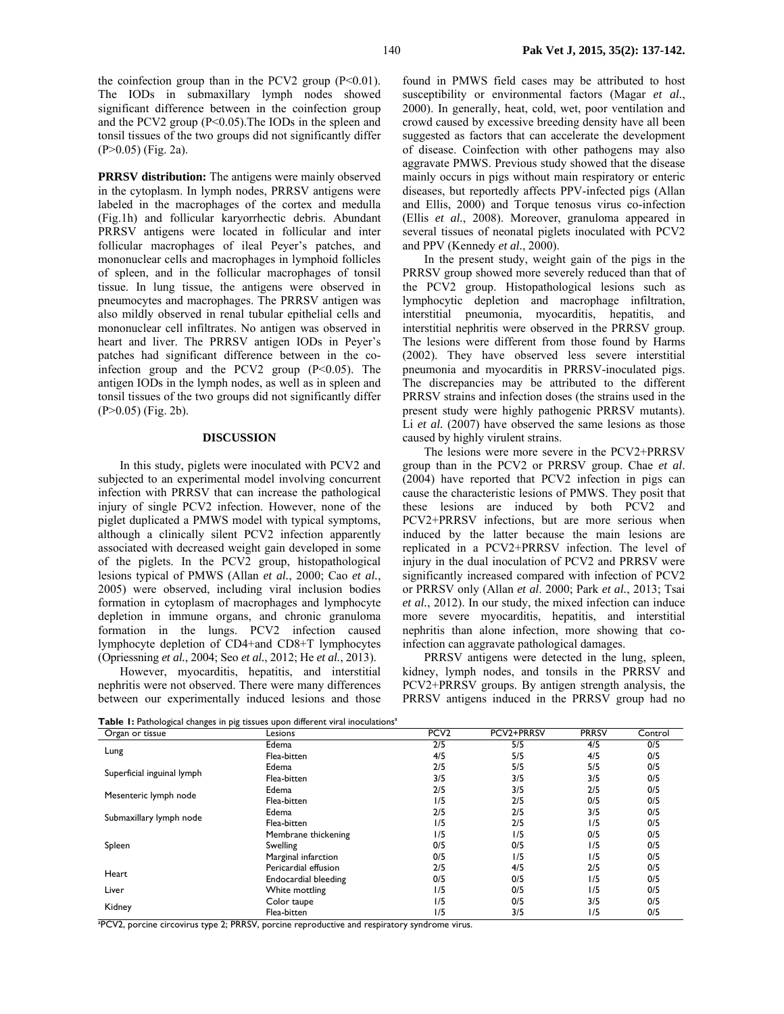the coinfection group than in the PCV2 group  $(P<0.01)$ . The IODs in submaxillary lymph nodes showed significant difference between in the coinfection group and the PCV2 group (P<0.05).The IODs in the spleen and tonsil tissues of the two groups did not significantly differ (P>0.05) (Fig. 2a).

**PRRSV distribution:** The antigens were mainly observed in the cytoplasm. In lymph nodes, PRRSV antigens were labeled in the macrophages of the cortex and medulla (Fig.1h) and follicular karyorrhectic debris. Abundant PRRSV antigens were located in follicular and inter follicular macrophages of ileal Peyer's patches, and mononuclear cells and macrophages in lymphoid follicles of spleen, and in the follicular macrophages of tonsil tissue. In lung tissue, the antigens were observed in pneumocytes and macrophages. The PRRSV antigen was also mildly observed in renal tubular epithelial cells and mononuclear cell infiltrates. No antigen was observed in heart and liver. The PRRSV antigen IODs in Peyer's patches had significant difference between in the coinfection group and the PCV2 group  $(P<0.05)$ . The antigen IODs in the lymph nodes, as well as in spleen and tonsil tissues of the two groups did not significantly differ (P>0.05) (Fig. 2b).

## **DISCUSSION**

In this study, piglets were inoculated with PCV2 and subjected to an experimental model involving concurrent infection with PRRSV that can increase the pathological injury of single PCV2 infection. However, none of the piglet duplicated a PMWS model with typical symptoms, although a clinically silent PCV2 infection apparently associated with decreased weight gain developed in some of the piglets. In the PCV2 group, histopathological lesions typical of PMWS (Allan *et al.*, 2000; Cao *et al.*, 2005) were observed, including viral inclusion bodies formation in cytoplasm of macrophages and lymphocyte depletion in immune organs, and chronic granuloma formation in the lungs. PCV2 infection caused lymphocyte depletion of CD4+and CD8+T lymphocytes (Opriessning *et al.*, 2004; Seo *et al.*, 2012; He *et al.*, 2013).

However, myocarditis, hepatitis, and interstitial nephritis were not observed. There were many differences between our experimentally induced lesions and those

found in PMWS field cases may be attributed to host susceptibility or environmental factors (Magar *et al.*, 2000). In generally, heat, cold, wet, poor ventilation and crowd caused by excessive breeding density have all been suggested as factors that can accelerate the development of disease. Coinfection with other pathogens may also aggravate PMWS. Previous study showed that the disease mainly occurs in pigs without main respiratory or enteric diseases, but reportedly affects PPV-infected pigs (Allan and Ellis, 2000) and Torque tenosus virus co-infection (Ellis *et al.*, 2008). Moreover, granuloma appeared in several tissues of neonatal piglets inoculated with PCV2 and PPV (Kennedy *et al.*, 2000).

In the present study, weight gain of the pigs in the PRRSV group showed more severely reduced than that of the PCV2 group. Histopathological lesions such as lymphocytic depletion and macrophage infiltration, interstitial pneumonia, myocarditis, hepatitis, and interstitial nephritis were observed in the PRRSV group. The lesions were different from those found by Harms (2002). They have observed less severe interstitial pneumonia and myocarditis in PRRSV-inoculated pigs. The discrepancies may be attributed to the different PRRSV strains and infection doses (the strains used in the present study were highly pathogenic PRRSV mutants). Li *et al.* (2007) have observed the same lesions as those caused by highly virulent strains.

The lesions were more severe in the PCV2+PRRSV group than in the PCV2 or PRRSV group. Chae *et al*. (2004) have reported that PCV2 infection in pigs can cause the characteristic lesions of PMWS. They posit that these lesions are induced by both PCV2 and PCV2+PRRSV infections, but are more serious when induced by the latter because the main lesions are replicated in a PCV2+PRRSV infection. The level of injury in the dual inoculation of PCV2 and PRRSV were significantly increased compared with infection of PCV2 or PRRSV only (Allan *et al*. 2000; Park *et al.*, 2013; Tsai *et al.*, 2012). In our study, the mixed infection can induce more severe myocarditis, hepatitis, and interstitial nephritis than alone infection, more showing that coinfection can aggravate pathological damages.

PRRSV antigens were detected in the lung, spleen, kidney, lymph nodes, and tonsils in the PRRSV and PCV2+PRRSV groups. By antigen strength analysis, the PRRSV antigens induced in the PRRSV group had no

**Table 1:** Pathological changes in pig tissues upon different viral inoculations<sup>a</sup>

| Organ or tissue            | Lesions              | PCV <sub>2</sub> | PCV2+PRRSV | <b>PRRSV</b> | Control |
|----------------------------|----------------------|------------------|------------|--------------|---------|
|                            | Edema                | 2/5              | 5/5        | 4/5          | 0/5     |
| Lung                       | Flea-bitten          | 4/5              | 5/5        | 4/5          | 0/5     |
|                            | Edema                | 2/5              | 5/5        | 5/5          | 0/5     |
| Superficial inguinal lymph | Flea-bitten          | 3/5              | 3/5        | 3/5          | 0/5     |
|                            | Edema                | 2/5              | 3/5        | 2/5          | 0/5     |
| Mesenteric lymph node      | Flea-bitten          | 1/5              | 2/5        | 0/5          | 0/5     |
| Submaxillary lymph node    | Edema                | 2/5              | 2/5        | 3/5          | 0/5     |
|                            | Flea-bitten          | 1/5              | 2/5        | 1/5          | 0/5     |
|                            | Membrane thickening  | 1/5              | 1/5        | 0/5          | 0/5     |
| Spleen                     | Swelling             | 0/5              | 0/5        | 1/5          | 0/5     |
|                            | Marginal infarction  | 0/5              | 1/5        | 1/5          | 0/5     |
|                            | Pericardial effusion | 2/5              | 4/5        | 2/5          | 0/5     |
| Heart                      | Endocardial bleeding | 0/5              | 0/5        | 1/5          | 0/5     |
| Liver                      | White mottling       | 1/5              | 0/5        | 1/5          | 0/5     |
| Kidney                     | Color taupe          | 1/5              | 0/5        | 3/5          | 0/5     |
|                            | Flea-bitten          | 1/5              | 3/5        | 1/5          | 0/5     |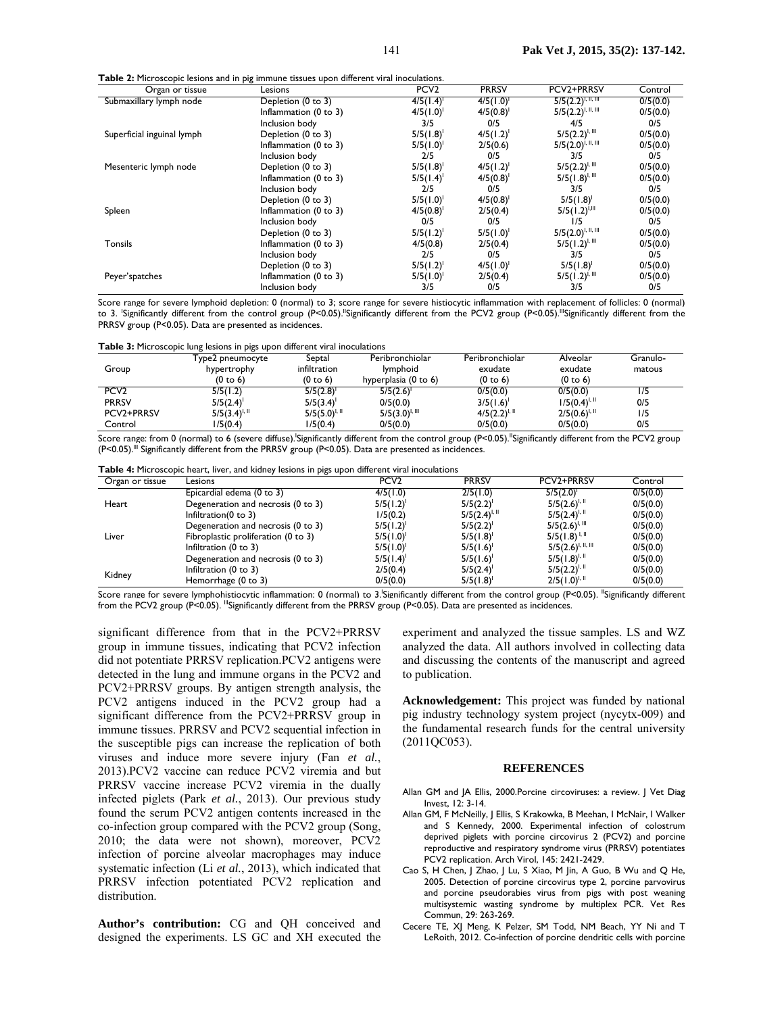|  |  | <b>Table 2:</b> Microscopic lesions and in pig immune tissues upon different viral inoculations. |  |
|--|--|--------------------------------------------------------------------------------------------------|--|
|  |  |                                                                                                  |  |

| Organ or tissue            | . .<br>Lesions                   | PCV <sub>2</sub> | <b>PRRSV</b>   | PCV2+PRRSV              | Control  |
|----------------------------|----------------------------------|------------------|----------------|-------------------------|----------|
| Submaxillary lymph node    | Depletion (0 to 3)               | 4/5(1.4)         | 4/5(1.0)       | $5/5(2.2)^{1, 11, 111}$ | 0/5(0.0) |
|                            | Inflammation (0 to 3)            | 4/5(1.0)         | 4/5(0.8)       | $5/5(2.2)^{1, 11, 111}$ | 0/5(0.0) |
|                            | Inclusion body                   | 3/5              | 0/5            | 4/5                     | 0/5      |
| Superficial inguinal lymph | Depletion (0 to 3)               | $5/5(1.8)^{1}$   | 4/5(1.2)       | $5/5(2.2)^{l, II}$      | 0/5(0.0) |
|                            | Inflammation (0 to 3)            | $5/5(1.0)^{1}$   | 2/5(0.6)       | $5/5(2.0)^{l, II, III}$ | 0/5(0.0) |
|                            | Inclusion body                   | 2/5              | 0/5            | 3/5                     | 0/5      |
| Mesenteric lymph node      | Depletion (0 to 3)               | $5/5(1.8)^{1}$   | $4/5(1.2)^{1}$ | $5/5(2.2)^{1, 111}$     | 0/5(0.0) |
|                            | Inflammation (0 to 3)            | $5/5(1.4)^{1}$   | $4/5(0.8)^{1}$ | $5/5(1.8)^{1, 111}$     | 0/5(0.0) |
|                            | Inclusion body                   | 2/5              | 0/5            | 3/5                     | 0/5      |
|                            | Depletion (0 to 3)               | $5/5(1.0)^{1}$   | $4/5(0.8)^{1}$ | $5/5(1.8)^1$            | 0/5(0.0) |
| Spleen                     | Inflammation (0 to 3)            | $4/5(0.8)^{1}$   | 2/5(0.4)       | $5/5(1.2)^{1,11}$       | 0/5(0.0) |
|                            | Inclusion body                   | 0/5              | 0/5            | 1/5                     | 0/5      |
|                            | Depletion (0 to 3)               | $5/5(1.2)^{1}$   | 5/5(1.0)       | $5/5(2.0)^{1, 11, 111}$ | 0/5(0.0) |
| <b>Tonsils</b>             | Inflammation $(0 \text{ to } 3)$ | 4/5(0.8)         | 2/5(0.4)       | $5/5(1.2)^{1, 111}$     | 0/5(0.0) |
|                            | Inclusion body                   | 2/5              | 0/5            | 3/5                     | 0/5      |
|                            | Depletion (0 to 3)               | $5/5(1.2)^{1}$   | 4/5(1.0)       | $5/5(1.8)^{1}$          | 0/5(0.0) |
| Peyer'spatches             | Inflammation $(0 \text{ to } 3)$ | $5/5(1.0)^{1}$   | 2/5(0.4)       | $5/5(1.2)^{1.11}$       | 0/5(0.0) |
|                            | Inclusion body                   | 3/5              | 0/5            | 3/5                     | 0/5      |

Score range for severe lymphoid depletion: 0 (normal) to 3; score range for severe histiocytic inflammation with replacement of follicles: 0 (normal) to 3. 'Significantly different from the control group (P<0.05)."Significantly different from the PCV2 group (P<0.05)."'Significantly different from the PRRSV group (P<0.05). Data are presented as incidences.

**Table 3:** Microscopic lung lesions in pigs upon different viral inoculations

|                  | i ype2 pneumocyte   | Septal            | Peribronchiolar      | Peribronchiolar     | Alveolar          | Granulo- |
|------------------|---------------------|-------------------|----------------------|---------------------|-------------------|----------|
| Group            | hypertrophy         | infiltration      | <b>Iymphoid</b>      | exudate             | exudate           | matous   |
|                  | $(0 \text{ to } 6)$ | (0 to 6)          | hyperplasia (0 to 6) | $(0 \text{ to } 6)$ | (0 to 6)          |          |
| PCV <sub>2</sub> | 5/5(1.2)            | $5/5(2.8)^{1}$    | 5/5(2.6)             | 0/5(0.0)            | 0/5(0.0)          | ۱/5      |
| <b>PRRSV</b>     | 5/5(2.4)            | 5/5(3.4)          | 0/5(0.0)             | $3/5(1.6)^{1}$      | $1/5(0.4)^{1.1}$  | 0/5      |
| PCV2+PRRSV       | $5/5(3.4)^{1.1}$    | $5/5(5.0)^{1.11}$ | $5/5(3.0)^{1, 111}$  | $4/5(2.2)^{1.1}$    | $2/5(0.6)^{1,11}$ | 1/5      |
| Control          | l/5(0.4)            | 1/5(0.4)          | 0/5(0.0)             | 0/5(0.0)            | 0/5(0.0)          | 0/5      |

Score range: from 0 (normal) to 6 (severe diffuse).'Significantly different from the control group (P<0.05)."Significantly different from the PCV2 group (P<0.05).<sup>III</sup> Significantly different from the PRRSV group (P<0.05). Data are presented as incidences.

| Organ or tissue | Lesions                             | PCV <sub>2</sub> | <b>PRRSV</b>      | PCV2+PRRSV                 | Control  |
|-----------------|-------------------------------------|------------------|-------------------|----------------------------|----------|
|                 | Epicardial edema (0 to 3)           | 4/5(1.0)         | 2/5(1.0)          | 5/5(2.0)                   | 0/5(0.0) |
| Heart           | Degeneration and necrosis (0 to 3)  | $5/5(1.2)^{1}$   | $5/5(2.2)^{1}$    | $5/5(2.6)^{1,11}$          | 0/5(0.0) |
|                 | Infiltration $(0 \text{ to } 3)$    | 1/5(0.2)         | $5/5(2.4)^{1.11}$ | $5/5(2.4)^{1.1}$           | 0/5(0.0) |
|                 | Degeneration and necrosis (0 to 3)  | $5/5(1.2)^{1}$   | $5/5(2.2)^{1}$    | $5/5(2.6)^{1, \text{III}}$ | 0/5(0.0) |
| Liver           | Fibroplastic proliferation (0 to 3) | 5/5(1.0)         | 5/5(1.8)          | $5/5(1.8)^{1.1}$           | 0/5(0.0) |
|                 | Infiltration $(0 \text{ to } 3)$    | 5/5(1.0)         | 5/5(1.6)          | $5/5(2.6)^{l, II, III}$    | 0/5(0.0) |
|                 | Degeneration and necrosis (0 to 3)  | 5/5(1.4)         | 5/5(1.6)          | $5/5(1.8)^{1.11}$          | 0/5(0.0) |
| Kidney          | Infiltration $(0 \text{ to } 3)$    | 2/5(0.4)         | 5/5(2.4)          | $5/5(2.2)^{1.1}$           | 0/5(0.0) |
|                 | Hemorrhage (0 to 3)                 | 0/5(0.0)         | $5/5(1.8)^{1}$    | $2/5(1.0)^{1.1}$           | 0/5(0.0) |

Score range for severe lymphohistiocytic inflammation: 0 (normal) to 3. Significantly different from the control group (P<0.05). "Significantly different from the PCV2 group (P<0.05). "Significantly different from the PRRSV group (P<0.05). Data are presented as incidences.

significant difference from that in the PCV2+PRRSV group in immune tissues, indicating that PCV2 infection did not potentiate PRRSV replication.PCV2 antigens were detected in the lung and immune organs in the PCV2 and PCV2+PRRSV groups. By antigen strength analysis, the PCV2 antigens induced in the PCV2 group had a significant difference from the PCV2+PRRSV group in immune tissues. PRRSV and PCV2 sequential infection in the susceptible pigs can increase the replication of both viruses and induce more severe injury (Fan *et al.*, 2013).PCV2 vaccine can reduce PCV2 viremia and but PRRSV vaccine increase PCV2 viremia in the dually infected piglets (Park *et al.*, 2013). Our previous study found the serum PCV2 antigen contents increased in the co-infection group compared with the PCV2 group (Song, 2010; the data were not shown), moreover, PCV2 infection of porcine alveolar macrophages may induce systematic infection (Li *et al.*, 2013), which indicated that PRRSV infection potentiated PCV2 replication and distribution.

**Author's contribution:** CG and QH conceived and designed the experiments. LS GC and XH executed the experiment and analyzed the tissue samples. LS and WZ analyzed the data. All authors involved in collecting data and discussing the contents of the manuscript and agreed to publication.

**Acknowledgement:** This project was funded by national pig industry technology system project (nycytx-009) and the fundamental research funds for the central university (2011QC053).

#### **REFERENCES**

- Allan GM and JA Ellis, 2000.Porcine circoviruses: a review. J Vet Diag Invest, 12: 3-14.
- Allan GM, F McNeilly, J Ellis, S Krakowka, B Meehan, I McNair, I Walker and S Kennedy, 2000. Experimental infection of colostrum deprived piglets with porcine circovirus 2 (PCV2) and porcine reproductive and respiratory syndrome virus (PRRSV) potentiates PCV2 replication. Arch Virol, 145: 2421-2429.
- Cao S, H Chen, J Zhao, J Lu, S Xiao, M Jin, A Guo, B Wu and Q He, 2005. Detection of porcine circovirus type 2, porcine parvovirus and porcine pseudorabies virus from pigs with post weaning multisystemic wasting syndrome by multiplex PCR. Vet Res Commun, 29: 263-269.
- Cecere TE, XJ Meng, K Pelzer, SM Todd, NM Beach, YY Ni and T LeRoith, 2012. Co-infection of porcine dendritic cells with porcine